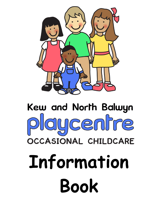

# Kew and North Balwyn laycentre **OCCASIONAL CHILDCARE** Information **Book**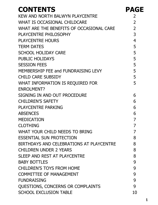| <b>CONTENTS</b>                          | <b>PAGE</b>    |
|------------------------------------------|----------------|
| KEW AND NORTH BALWYN PLAYCENTRE          | 2              |
| WHAT IS OCCASIONAL CHILDCARE             | $\overline{2}$ |
| WHAT ARE THE BENEFITS OF OCCASIONAL CARE | $\overline{2}$ |
| PLAYCENTRE PHILOSOPHY                    | 3              |
| <b>PLAYCENTRE HOURS</b>                  | $\overline{4}$ |
| <b>TERM DATES</b>                        | 5              |
| <b>SCHOOL HOLIDAY CARE</b>               | 5              |
| <b>PUBLIC HOLIDAYS</b>                   | 5              |
| <b>SESSION FEES</b>                      | 5              |
| MEMBERSHIP FEE and FUNDRAISING LEVY      | 5              |
| <b>CHILD CARE SUBSIDY</b>                | 5              |
| WHAT INFORMATION IS REQUIRED FOR         | 5              |
| <b>ENROLMENT?</b>                        |                |
| SIGNING IN AND OUT PROCEDURE             | 6              |
| <b>CHILDREN'S SAFETY</b>                 | 6              |
| <b>PLAYCENTRE PARKING</b>                | 6              |
| <b>ABSENCES</b>                          | 6              |
| <b>MEDICATION</b>                        | 7              |
| <b>CLOTHING</b>                          | 7              |
| WHAT YOUR CHILD NEEDS TO BRING           | 7              |
| <b>ESSENTIAL SUN PROTECTION</b>          | 8              |
| BIRTHDAYS AND CELEBRATIONS AT PLAYCENTRE | 8              |
| <b>CHILDREN UNDER 2 YEARS</b>            | 8              |
| SLEEP AND REST AT PLAYCENTRE             | 8              |
| <b>BABY BOTTLES</b>                      | 9              |
| <b>CHILDREN'S TOYS FROM HOME</b>         | 9              |
| <b>COMMITTEE OF MANAGEMENT</b>           | 9              |
| <b>FUNDRAISING</b>                       | 9              |
| QUESTIONS, CONCERNS OR COMPLAINTS        | 9              |
| <b>SCHOOL EXCLUSION TABLE</b>            | 10             |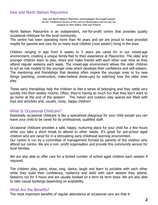#### Kew and North Balwyn Playcentre

Kew and North Balwyn Playcentre acknowledges Wurundjeri people As the Traditional Owners of the Land of Boroondara and we pay our respects to their Elders, Past and Present.

North Balwyn Playcentre is an independent, not-for-profit centre that provides quality occasional childcare for the local community.

The centre has been operating more than 40 years and we are proud to have provided respite for parents and care for so many local children (now adults!) living in the area.

Children ranging in age from 6 weeks to 5 years are cared for in our mixed-age environment, creating a unique family-feel to their experience at Playcentre. The older and younger children learn to play, share and make friends with each other over time as they attend regular sessions each week. The mixed-age environment allows the older children to act as role models to the younger ones which develops their confidence and self-esteem. The mentoring and friendships that develop often inspire the younger ones to try new things (painting, construction, make-believe dress-ups) by watching how the older ones play.

These early friendships help the children to feel a sense of belonging and they settle very quickly into their weekly routine. Often, they're having so much fun that they don't want to go home at the end of the session! The indoor and outdoor play spaces are filled with toys and activities and, usually, noisy, happy children!

#### What Is Occasional Childcare?

Essentially occasional childcare is like a specialized playgroup for your child except you can leave your child to be cared for by professional, qualified staff.

Occasional childcare provides a safe, happy, nurturing place for your child for a few hours while you take a short break to attend to other needs. It's great for pre-school aged children who are cared for in a stimulating early childhood learning environment. Our centre is run by a committee of management formed by parents of the children who

attend our centre. We are a non- profit organisation and provide this community service for local families.

We are also able to offer care for a limited number of school aged children each session if required.

The children play, paint, draw, sing, dance, laugh and learn to socialise with each other while they build their confidence, resilience and skills with each session they attend. Sessions run for 5 hours and are usually booked on a term by term basis. We are also able to take casual bookings depending on availability.

#### What Are the Benefits?

The most important benefits of regular attendance at occasional care are that it: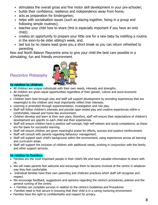- stimulates the overall gross and fine motor skill development in your pre-schooler;
- builds their confidence, resilience and independence away from home;
- acts as preparation for kindergarten;
- helps with socialisation issues (such as playing together, being in a group and following simple routines);
- teaches your child how to share (this is especially important if you have an only child);
- creates an opportunity to prepare your little one for a new baby by instilling a routine in the soon-to-be older sibling's week, and,
- last but by no means least gives you a short break so you can return refreshed to parenting

Kew and North Balwyn Playcentre aims to give your child the best care possible in a stimulating, fun and friendly environment.

Playcentre Philosophy



#### In relation to children:

- All children are unique individuals with their own needs, interests and strengths
- All children are given equal opportunities regardless of their gender, culture and socio-economic background.
- Children learn best through play and staff will support development by providing experiences that are meaningful to the children and most importantly reflect their interests.
- Learning is promoted through experimentation, investigation and role play.
- Staff will follow children's interests and provide open ended play and creative experiences within a comfortable, relaxed and home like environment.
- Children develop and learn at their own pace; therefore, staff will ensure their expectations of children's development are specific to each child and their experiences.
- Staff will ensure children have a positive self-concept, high self-esteem and social competence, as these are the basis for successful learning.
- Staff will ensure children are given meaningful praise for efforts, success and positive reinforcement.
- Staff will consult with parents regarding behaviour management.
- Staff will support each child's background within the environment, using experiences across all learning and curriculum areas.
- Staff will support the inclusion of children with additional needs, working in conjunction with the family and other support services.

#### In relation to families:

- Families are the most important people in their child's life and have valuable information to share with us.
- We will make parents feel welcome and encourage them to become involved at the centre in whatever way they feel comfortable.
- Individual families have their own parenting and childcare practices which staff will recognise and respect.
- We encourage feedback, suggestions and opinions regarding the centre's procedures, policies and the general running of the centre.
- + Families can complete surveys in relation to the centre's Guidelines and Procedures.
- Families need to feel secure in knowing that their child is in a caring nurturing environment.
- Families have the right to confidentiality and respect for privacy.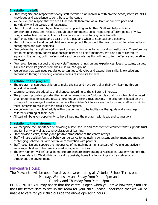#### In relation to staff:

- Staff recognise and respect that every staff member is an individual with diverse needs, interests, skills, knowledge and experience to contribute to the centre.
- We believe and respect that we are all individuals therefore we all learn at our own pace and individuality will be valued and respected.
- Staff will work as a team by motivating and supporting each other. Staff will help to build an atmosphere of trust and respect through open communications, respecting different points of view, using constructive methods of conflict resolution, and maintaining confidentiality.
- Staff know when to quide and assist a child's play and when to step back and observe.
- Staff will document and record children's development throughout the year using written observations, photographs and work samples.
- We believe that a positive working environment is fundamental to providing quality care. Therefore, we aim to maintain open, honest relationships between all staff members. We also aim to contribute equally to the centre, both professionally and personally, as this will help to form effective cooperative teamwork.
- We recognise and suspect that every staff member brings unique experiences, ideas, customs, values, skills and interests gained from their cultural background.
- We believe that staff need regular opportunities to develop and extend their skills, knowledge and enthusiasm through attending various courses of interests to them.

#### In relation to the program:

- The program encourages children to make choices and have control of their own learning through individual interests.
- Learning centres are added to and changed according to the children's interests.
- The program provides opportunities for simultaneous indoor/outdoor play that promotes child initiated small group experiences and fosters nurturing and sibling relationships. The program is based on the concept of the emergent curriculum. where the children's interests are the focus and staff work within these interests to assist with the child's development.
- We believe that the role of adults within the centre is to be facilitators that guide and encourage children's learning at their level.
- All staff will be given opportunity to have input into the program with ideas and suggestions.

#### In relation to the environment:

- We recognise the importance of providing a safe, secure and consistent environment that supports trust and familiarity as well as active exploration of learning.
- Staff provide a calm, friendly and positive atmosphere at the centre always.
- Staff will use positive forms of behaviour quidance to maintain a consistent environment and manage challenging behaviours, with continual consultation with parents.
- Staff recognise and support the importance of maintaining a high standard of hygiene and actively encourage children to become involved in hygiene practices.
- The environment will reflect a 'home like atmosphere incorporating a realistic, natural environment the child can relate to. We do this by providing baskets, home like furnishings such as tablecloths throughout the environment.

#### Playcentre Hours:

The Playcentre will be open five days per week during all Victorian School Terms on:

Monday, Wednesday and Friday from 9am—2pm and

Tuesday and Thursday from 9am – 3pm

PLEASE NOTE: You may notice that the centre is open when you arrive however, Staff use the time before 9am to set up the room for your child. Please understand that we will be unable to care for your child outside the above operating hours.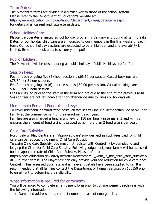#### Term Dates:

The playcentre terms are divided in a similar way to those of the school system. Please refer to the Department of Education's website at: https://www.education.vic.gov.au/about/department/Pages/datesterm.aspx for details of all current and future term dates.

## School Holiday Care:

Playcentre operates a limited school holiday program in January and during all term breaks. Dates for our holiday child care are announced to our members in the final weeks of each term. Our school holiday sessions are expected to be in high demand and availability is limited. Be sure to book early to secure your spot!

#### Public Holidays:

The Playcentre will be closed during all public holidays. Public Holidays are fee free.

#### Session Fees:

Fee for each ongoing five (5)-hour session is \$66.50 per session Casual bookings are \$78.50 per 5 hour session.

Fee for each ongoing six (6)-hour session is \$80.00 per session. Casual bookings are \$92.00 per 6 hour session.

Fees are issued prior to the start of the term and are due at the end of the previous term. Session fees are not refundable for non-attendance due to illness or holidays etc.

## Membership Fee and Fundraising Levy:

To cover additional administrative costs, all families will incur a Membership Fee of \$20 per Family at the commencement of their enrolment each year.

Families are also charged a fundraising levy of \$30 per family in terms 2, 3 and 4. This ensures the amount of fundraising is capped at no more than 2 fundraisers per year.

## Child Care Subsidy:

North Balwyn Play Centre is an 'Approved Care' provider and as such fees paid for child care can be reduced by claiming Child Care Subsidy.

To claim Child Care Subsidy, you must first register with Centrelink by completing and lodging the Claim for Child Care Subsidy. Following lodgement, your family will be assessed for the applicable rate of Child Care Subsidy. Please refer to

https://docs.education.gov.au/system/files/doc/other/1. what is the child care subsidy.p df for further details. The Playcentre can only provide your fee reduction for child care once Centrelink has assessed your rate and all relevant details have been supplied to us. It is recommended that all families contact the Department of Human Services on 136150 prior to enrolment to determine their eligibility.

## What information is required for enrolment?

You will be asked to complete an enrolment form prior to commencement each year with the following information:

• Name and address and a contact number in case of emergencies.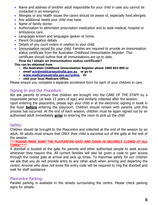- Name and address of another adult responsible for your child in case you cannot be contacted in an emergency
- Allergies or any health issues the carers should be aware of, especially food allergies.
- Any additional needs your child may have
- Name of family doctor.
- Authorization to administer prescription medication and to seek medical, hospital or ambulance care.
- Languages known and languages spoken at home.
- Parent Occupation details
- Details of any court orders in relation to your child.
- Immunisation record for your child. Families are required to provide an immunisation status certificate from the Australian Childhood Immunisation Register. This certificate should outline that all immunisations are up to date.
	- How do I obtain an immunisation status certificate?
- This can be obtained from
	- the Australian Childhood Immunisation Register phone 1800 653 809 or
	- email acir@medicareaustralia.gov.au or go to
	- www.medicareaustralia.gov.au/online Or
	- **visit your local Medicare Office.**

Please ensure you complete a separate enrolment form for each of your children in care.

# Signing In and Out Procedure:

We ask parents to ensure that children are brought into the CARE OF THE STAFF by a responsible person (at least 15 years of age) and similarly collected after the session.

Upon entering the playcentre, please sign your child in at the electronic signing in kiosk in the foyer **before** entering the playroom. Children should remain with parents until this process has occurred. At the end of each session, children must be again signed out by an authorised adult immediately **prior** to entering the room to pick up the child

#### Safety:

Children should be brought to the Playcentre and collected at the end of the session by an adult. All adults must ensure that ONLY their child is escorted out of the gate at the end of the session.

#### \*\*\*PLEASE MAKE SURE THE PLAYCENTRE GATE AND DOOR IS SECURELY CLOSED AT ALL TIMES\*\*\*\*

A doorbell is located at the gate for parents and other authorised people to seek access whenever they require this. All current families will also be given a code to gain access through the locked gate at arrival and pick up times. To maximise safety for our children we ask that you do not provide entry to any other adult when arriving and departing the centre. Anyone who does not know the entry code will be required to ring the doorbell and wait for staff assistance

## Playcentre Parking:

Parallel parking is available in the streets surrounding the centre. Please check parking signs for details.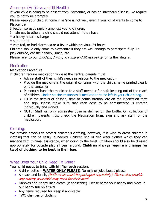# Absences (Holidays and Ill Health)

If your child is going to be absent from Playcentre, or has an infectious disease, we require you to notify us promptly.

Please keep your child at home if he/she is not well, even if your child wants to come to **Playcentre** 

Infection spreads rapidly amongst young children.

In fairness to others, a child should not attend if they have:

- $*$  a heavy nasal discharge
- \* sore throat

\* vomited, or had diarrhoea or a fever within previous 24 hours

Children should only come to playcentre if they are well enough to participate fully. i.e. play outside, eat their snack, lunch, etc.

Please refer to our *Incident, Injury, Trauma and Illness Policy* for further details.

# **Medication**

Medication Procedure

If children require medication while at the centre, parents must

- Advise staff of their child's needs in relation to the medication
- Provide the medicine in the original container with the child's name printed clearly on the container
- Personally hand the medicine to a staff member for safe keeping out of the reach of children. Under no circumstances is medication to be left in your child's bag.
- Fill in the details of dosage, time of administration, etc on the Medication form and sign. Please make sure that each dose to be administered is entered individually and signed.
- NOTE: Staff will only administer dose as defined on the bottle. On collection of children, parents must check the Medication form, sign and ask staff for the medication.

# Clothing:

We provide smocks to protect children's clothing, however, it is wise to dress children in clothing that can be easily laundered. Children should also wear clothes which they can manage with minimal assistance, when going to the toilet. Children should also be dressed appropriately for outside play all year around. Children always require a change (or two) of clothing to be kept in their bag.

## What Does Your Child Need To Bring?

Your child needs to bring with him/her each session:

- A drink bottle **WATER ONLY PLEASE**. No milk or juice boxes please.
- A snack and lunch, (both meals must be packaged separately). Please also provide any cutlery your child may need for their meal.
- Nappies and Nappy rash cream (if applicable)- Please name your nappy and place in our nappy tub on arrival
- Any items required for sleep if applicable
- TWO changes of clothing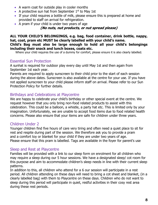- A warm coat for outside play in cooler months
- A protective sun hat from September  $1<sup>st</sup>$  to May 1st
- If your child requires a bottle of milk, please ensure this is prepared at home and provided to staff on arrival for refrigeration.
- A pram if your child is under two years of age

#### (No nuts, nut products, or nut spread please)

#### ALL YOUR CHILD'S BELONGINGS, e.g. bag, food container, drink bottle, nappy, hat, coat, pram etc MUST be clearly labelled with your child's name. Child's Bag must also be large enough to hold all your child's belongings including their snack and lunch boxes, coats etc.

Where your child requires the use of a dummy for comfort, please ensure it is also clearly labelled.

# Essential Sun Protection

A sunhat is required for outdoor play every day until May 1st and then again from September 1st each year.

Parents are required to apply sunscreen to their child prior to the start of each session during the above dates. Sunscreen is also available at the centre for your use. If you have not applied sunscreen to your child please inform staff on arrival. Please refer to our Sun Protection Policy for further details.

## Birthdays and Celebrations at Playcentre

We are happy to celebrate your child's birthday or other special event at the centre. We request however that you only bring non-food related products to assist with this celebration. This could be a balloon, a whistle, a party hat etc. This is limited only by your imagination. Unfortunately, we are unable to accept food items due to food related health concerns. Please also ensure that your items are safe for children under three years.

# Children Under 2

Younger children find five hours of care very tiring and often need a quiet place to sit for rest and respite during part of the session. We therefore ask you to provide a pram and a comfort toy or blanket for your child if they are under two years of age. Please ensure that this pram is labelled. Tags are available in the foyer for parent's use

## Sleep and Rest at Playcentre

Families will be provided with a link to our sleep form on enrolment for all children who may require a sleep during our 5 hour sessions. We have a designated sleep/ cot room for this purpose and aim to accommodate children's sleep needs in line with their current sleep patterns.

In addition to this, all children who attend for a 6 our session will participate in a rest period. All children attending on these days will need to bring a cot sheet and blanket, (in a clearly labelled bag) with them to Playcentre on these days. Children who do not want to sleep during this period will participate in quiet, restful activities in their cosy rest area during these rest periods.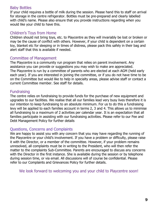#### Baby Bottles

If your child requires a bottle of milk during the session. Please hand this to staff on arrival for storage in the centre refrigerator. Bottles must be pre-prepared and clearly labelled with child's name. Please also ensure that you provide instructions regarding when you would like your child to have this.

# Children's Toys from Home

Children should not bring toys, etc. to Playcentre as they will invariably be lost or broken or may be the cause of conflict with others. However, if your child is dependent on a certain toy, blanket etc for sleeping or in times of distress, please pack this safely in their bag and alert staff that this is available if needed.

## Committee of Management

The Playcentre is a community run program that relies on parent involvement. Any assistance you can provide or suggestions you may wish to make are appreciated. The Playcentre is run by a committee of parents who are elected at each AGM (held early each year). If you are interested in joining the committee, or if you do not have time to be on the Committee but would like to help in specialty areas, please advise staff or contact a current Committee member. See staff for details.

## **Fundraising**

The centre relies on fundraising to provide funds for the purchase of new equipment and upgrades to our facilities. We realise that all our families lead very busy lives therefore it is our intention to keep fundraising to an absolute minimum. For us to do this a fundraising levy will be applied to each families account in terms 2, 3 and 4. This allows us to minimise all fundraising to a maximum of 2 activities per calendar year. It is an expectation that all families participate in assisting with our fundraising activities. Please refer to our Fee and Debt Management Policy for further details

#### Questions, Concerns and Complaints

We are happy to assist you with any concern that you may have regarding the running of the Playcentre or your child's involvement. If you have a problem or difficulty, please raise it with the Director, or a member of the committee. However, if your problem remains unresolved, all complaints must be in writing to the President, who will then refer the matter to the complaints Sub-Committee. Parents are encouraged to discuss any concerns with the Director in the first instance. She is available during the session or by telephone during session time, or via email. All discussions will of course be confidential. Please refer to our Complaints and Grievances Policy for further details.

We look forward to welcoming you and your child to Playcentre soon!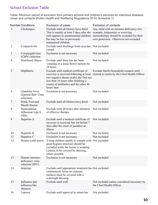# School Exclusion Table

Table: Minimum period of exclusion from primary schools and children's services for infectious diseases cases and contacts (Public Health and Wellbeing Regulations 2010, Schedule 7)

|                | <b>Number Conditions</b>                             | <b>Exclusion of cases</b>                                                                                                                                                                                                    | <b>Exclusion of contacts</b>                                                                                                                                                                              |
|----------------|------------------------------------------------------|------------------------------------------------------------------------------------------------------------------------------------------------------------------------------------------------------------------------------|-----------------------------------------------------------------------------------------------------------------------------------------------------------------------------------------------------------|
| 1              | Chickenpox                                           | Exclude until all blisters have dried.<br>This is usually at least 5 days after the<br>but may be less in previously<br>immunised children                                                                                   | Any child with an immune deficiency (for<br>example, leukaemia) or receiving<br>rash appears in unimmunised children, chemotherapy should be excluded for their<br>own protection. Otherwise not excluded |
| $\overline{2}$ | Conjunctivitis                                       | Exclude until discharge from eyes has Not excluded<br>ceased                                                                                                                                                                 |                                                                                                                                                                                                           |
| 3              | Cytomegalovirus<br>(CMV) infection                   | Exclusion is not necessary                                                                                                                                                                                                   | Not excluded                                                                                                                                                                                              |
| 4              | Diarrhoeal illness                                   | Exclude until there has not been<br>vomiting or a loose bowel motion for<br>24 hours                                                                                                                                         | Not excluded                                                                                                                                                                                              |
| 5              | Diphtheria                                           | Exclude until medical certificate of<br>recovery is received following at least<br>two negative throat swabs, the first not<br>less than 24 hours after finishing a<br>course of antibiotics and the other 48<br>hours later | Exclude family/household contacts until<br>cleared to return by the Chief Health Officer                                                                                                                  |
| 6              | Glandular fever<br>(Epstein-Barr Virus<br>infection) | Exclusion is not necessary                                                                                                                                                                                                   | Not excluded                                                                                                                                                                                              |
| 7              | Hand, Foot and<br>Mouth disease                      | Exclude until all blisters have dried                                                                                                                                                                                        | Not excluded                                                                                                                                                                                              |
| 8              | Haemophilus<br>influenzae type b<br>(Hib)            | Exclude until 48 hours after initiation<br>of effective therapy                                                                                                                                                              | Not excluded                                                                                                                                                                                              |
| 9              | Hepatitis A                                          | Exclude until a medical certificate of<br>recovery is received, but not before 7<br>days after the onset of jaundice or<br>illness                                                                                           | Not excluded                                                                                                                                                                                              |
| 10             | Hepatitis B                                          | Exclusion is not necessary                                                                                                                                                                                                   | Not excluded                                                                                                                                                                                              |
| 11             | Hepatitis C                                          | Exclusion is not necessary                                                                                                                                                                                                   | Not excluded                                                                                                                                                                                              |
| 12             | Herpes (cold sores)                                  | Young children unable to comply with Not excluded<br>good hygiene practices should be<br>excluded while the lesion is weeping.<br>Lesions to be covered by dressing,<br>where possible                                       |                                                                                                                                                                                                           |
| 13             | Human immuno-<br>deficiency virus<br>infection (HIV) | Exclusion is not necessary                                                                                                                                                                                                   | Not excluded                                                                                                                                                                                              |
| 14             | Impetigo                                             | Exclude until appropriate treatment has Not excluded<br>commenced. Sores on exposed<br>surfaces must be covered with a<br>watertight dressing                                                                                |                                                                                                                                                                                                           |
| 15             | Influenza and<br>influenza like<br>illnesses         | Exclude until well                                                                                                                                                                                                           | Not excluded unless considered necessary by<br>the Chief Health Officer                                                                                                                                   |
| 16             | Leprosy                                              | Exclude until approval to return has                                                                                                                                                                                         | Not excluded                                                                                                                                                                                              |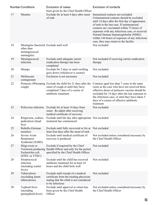|    | <b>Number Conditions</b>                                   | <b>Exclusion of cases</b>                                                                                                                     | <b>Exclusion of contacts</b>                                                                                                                                                                                                                                                                                                                                                                                |
|----|------------------------------------------------------------|-----------------------------------------------------------------------------------------------------------------------------------------------|-------------------------------------------------------------------------------------------------------------------------------------------------------------------------------------------------------------------------------------------------------------------------------------------------------------------------------------------------------------------------------------------------------------|
|    |                                                            | been given by the Chief Health Officer                                                                                                        |                                                                                                                                                                                                                                                                                                                                                                                                             |
| 17 | Measles                                                    | Exclude for at least 4 days after onset<br>of rash                                                                                            | Immunised contacts not excluded.<br>Unimmunised contacts should be excluded<br>until 14 days after the first day of appearance<br>of rash in the last case. If unimmunised<br>contacts are vaccinated within 72 hours of<br>exposure with any infectious case, or received<br>Normal Human Immunoglobulin (NHIG)<br>within 144 hours of exposure of any infectious<br>case, they may return to the facility |
| 18 | Meningitis (bacterial Exclude until well<br>other than     |                                                                                                                                               | Not excluded                                                                                                                                                                                                                                                                                                                                                                                                |
|    | meningococcal<br>meningitis)                               |                                                                                                                                               |                                                                                                                                                                                                                                                                                                                                                                                                             |
| 19 | Meningococcal<br>infection                                 | Exclude until adequate carrier<br>eradication therapy has been<br>completed                                                                   | Not excluded if receiving carrier eradication<br>therapy                                                                                                                                                                                                                                                                                                                                                    |
| 20 | Mumps                                                      | Exclude for 5 days or until swelling<br>goes down (whichever is sooner)                                                                       | Not excluded                                                                                                                                                                                                                                                                                                                                                                                                |
| 21 | Molluscum<br>contagiosum                                   | Exclusion is not necessary                                                                                                                    | Not excluded                                                                                                                                                                                                                                                                                                                                                                                                |
| 22 |                                                            | Pertussis (Whooping Exclude the child for 21 days after the                                                                                   | Contacts aged less than 7 years in the same                                                                                                                                                                                                                                                                                                                                                                 |
|    | cough)                                                     | onset of cough or until they have<br>completed 5 days of a course of<br>antibiotic treatment                                                  | room as the case who have not received three<br>effective doses of pertussis vaccine should be<br>excluded for 14 days after the last exposure to<br>the infectious case, or until they have taken 5<br>days of a course of effective antibiotic<br>treatment                                                                                                                                               |
| 23 |                                                            | Poliovirus infection Exclude for at least 14 days from<br>onset. Re admit after receiving<br>medical certificate of recovery                  | Not excluded                                                                                                                                                                                                                                                                                                                                                                                                |
| 24 | Ringworm, scabies,<br>pediculosis (head<br>lice)           | Exclude until the day after appropriate Not excluded<br>treatment has commenced                                                               |                                                                                                                                                                                                                                                                                                                                                                                                             |
| 25 | Rubella (German<br>measles)                                | Exclude until fully recovered or for at Not excluded<br>least four days after the onset of rash                                               |                                                                                                                                                                                                                                                                                                                                                                                                             |
| 26 | Severe Acute<br>Respiratory<br>Syndrome (SARS)             | Exclude until medical certificate of<br>recovery is produced                                                                                  | Not excluded unless considered necessary by<br>the Chief Health Officer                                                                                                                                                                                                                                                                                                                                     |
| 27 | Shiga toxin or<br>Escherichia coli<br>(STEC or VTEC)       | Exclude if required by the Chief<br>Verotoxin producing Health Officer and only for the period<br>specified by the Chief Health Officer       | Not excluded                                                                                                                                                                                                                                                                                                                                                                                                |
| 28 | Streptococcal<br>infection<br>(including scarlet<br>fever) | Exclude until the child has received<br>antibiotic treatment for at least 24<br>hours and the child feels well                                | Not excluded                                                                                                                                                                                                                                                                                                                                                                                                |
| 29 | Tuberculosis<br>(excluding latent<br>tuberculosis)         | Exclude until receipt of a medical<br>certificate from the treating physician<br>stating that the child is not considered<br>to be infectious | Not excluded                                                                                                                                                                                                                                                                                                                                                                                                |
| 30 | Typhoid fever<br>(including<br>paratyphoid fever)          | Exclude until approval to return has<br>been given by the Chief Health<br>Officer                                                             | Not excluded unless considered necessary by<br>the Chief Health Officer                                                                                                                                                                                                                                                                                                                                     |